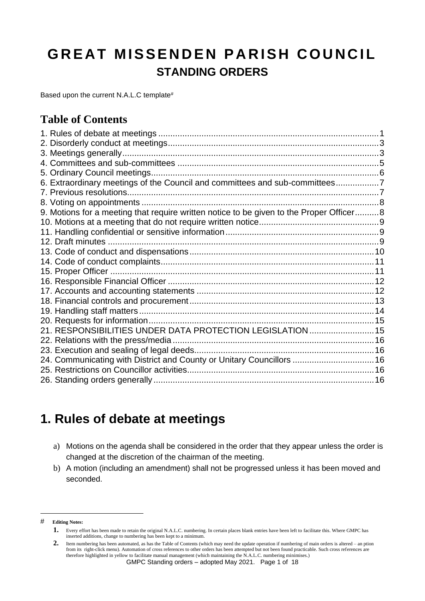# **GREAT MISSENDEN PARISH COUNCIL STANDING ORDERS**

Based upon the current N.A.L.C template<sup>#</sup>

#### **Table of Contents**

| 6. Extraordinary meetings of the Council and committees and sub-committees7             |  |
|-----------------------------------------------------------------------------------------|--|
|                                                                                         |  |
|                                                                                         |  |
| 9. Motions for a meeting that require written notice to be given to the Proper Officer8 |  |
|                                                                                         |  |
|                                                                                         |  |
|                                                                                         |  |
|                                                                                         |  |
|                                                                                         |  |
|                                                                                         |  |
|                                                                                         |  |
|                                                                                         |  |
|                                                                                         |  |
|                                                                                         |  |
|                                                                                         |  |
| 21. RESPONSIBILITIES UNDER DATA PROTECTION LEGISLATION  15                              |  |
|                                                                                         |  |
|                                                                                         |  |
| 24. Communicating with District and County or Unitary Councillors  16                   |  |
|                                                                                         |  |
|                                                                                         |  |

#### <span id="page-0-0"></span>**1. Rules of debate at meetings**

- a) Motions on the agenda shall be considered in the order that they appear unless the order is changed at the discretion of the chairman of the meeting.
- b) A motion (including an amendment) shall not be progressed unless it has been moved and seconded.

<sup>#</sup> **Editing Notes:**

**<sup>1.</sup>** Every effort has been made to retain the original N.A.L.C. numbering. In certain places blank entries have been left to facilitate this. Where GMPC has inserted additions, change to numbering has been kept to a minimum.

**<sup>2.</sup>** Item numbering has been automated, as has the Table of Contents (which may need the update operation if numbering of main orders is altered – an ption from its right-click menu). Automation of cross references to other orders has been attempted but not been found practicable. Such cross references are therefore highlighted in yellow to facilitate manual management (which maintaining the N.A.L.C. numbering minimises.)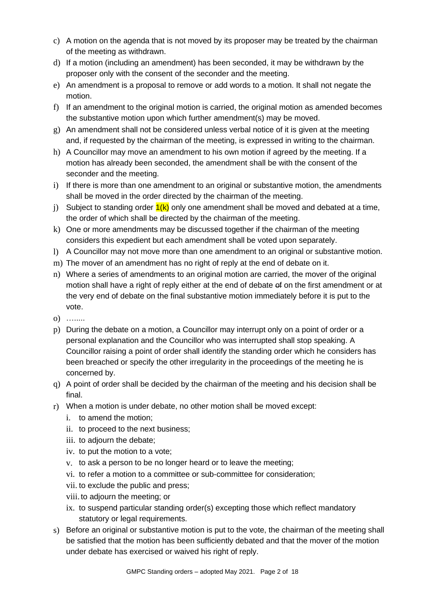- c) A motion on the agenda that is not moved by its proposer may be treated by the chairman of the meeting as withdrawn.
- d) If a motion (including an amendment) has been seconded, it may be withdrawn by the proposer only with the consent of the seconder and the meeting.
- e) An amendment is a proposal to remove or add words to a motion. It shall not negate the motion.
- f) If an amendment to the original motion is carried, the original motion as amended becomes the substantive motion upon which further amendment(s) may be moved.
- g) An amendment shall not be considered unless verbal notice of it is given at the meeting and, if requested by the chairman of the meeting, is expressed in writing to the chairman.
- h) A Councillor may move an amendment to his own motion if agreed by the meeting. If a motion has already been seconded, the amendment shall be with the consent of the seconder and the meeting.
- i) If there is more than one amendment to an original or substantive motion, the amendments shall be moved in the order directed by the chairman of the meeting.
- j) Subject to standing order  $1(k)$  only one amendment shall be moved and debated at a time, the order of which shall be directed by the chairman of the meeting.
- k) One or more amendments may be discussed together if the chairman of the meeting considers this expedient but each amendment shall be voted upon separately.
- l) A Councillor may not move more than one amendment to an original or substantive motion.
- m) The mover of an amendment has no right of reply at the end of debate on it.
- n) Where a series of amendments to an original motion are carried, the mover of the original motion shall have a right of reply either at the end of debate of on the first amendment or at the very end of debate on the final substantive motion immediately before it is put to the vote.
- o) ….....
- p) During the debate on a motion, a Councillor may interrupt only on a point of order or a personal explanation and the Councillor who was interrupted shall stop speaking. A Councillor raising a point of order shall identify the standing order which he considers has been breached or specify the other irregularity in the proceedings of the meeting he is concerned by.
- q) A point of order shall be decided by the chairman of the meeting and his decision shall be final.
- r) When a motion is under debate, no other motion shall be moved except:
	- i. to amend the motion;
	- ii. to proceed to the next business;
	- iii. to adjourn the debate;
	- iv. to put the motion to a vote;
	- v. to ask a person to be no longer heard or to leave the meeting;
	- vi. to refer a motion to a committee or sub-committee for consideration;
	- vii. to exclude the public and press;
	- viii. to adjourn the meeting; or
	- ix. to suspend particular standing order(s) excepting those which reflect mandatory statutory or legal requirements.
- s) Before an original or substantive motion is put to the vote, the chairman of the meeting shall be satisfied that the motion has been sufficiently debated and that the mover of the motion under debate has exercised or waived his right of reply.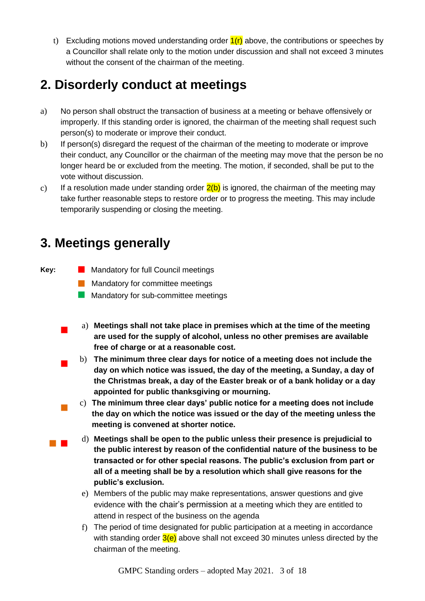t) Excluding motions moved understanding order  $f(r)$  above, the contributions or speeches by a Councillor shall relate only to the motion under discussion and shall not exceed 3 minutes without the consent of the chairman of the meeting.

## <span id="page-2-0"></span>**2. Disorderly conduct at meetings**

- a) No person shall obstruct the transaction of business at a meeting or behave offensively or improperly. If this standing order is ignored, the chairman of the meeting shall request such person(s) to moderate or improve their conduct.
- b) If person(s) disregard the request of the chairman of the meeting to moderate or improve their conduct, any Councillor or the chairman of the meeting may move that the person be no longer heard be or excluded from the meeting. The motion, if seconded, shall be put to the vote without discussion.
- c) If a resolution made under standing order  $2(b)$  is ignored, the chairman of the meeting may take further reasonable steps to restore order or to progress the meeting. This may include temporarily suspending or closing the meeting.

## <span id="page-2-1"></span>**3. Meetings generally**

**Key:**  Mandatory for full Council meetings

- **Mandatory for committee meetings**
- **Mandatory for sub-committee meetings**
- a) **Meetings shall not take place in premises which at the time of the meeting are used for the supply of alcohol, unless no other premises are available free of charge or at a reasonable cost.** 
	- b) **The minimum three clear days for notice of a meeting does not include the day on which notice was issued, the day of the meeting, a Sunday, a day of the Christmas break, a day of the Easter break or of a bank holiday or a day appointed for public thanksgiving or mourning.**
	- c) **The minimum three clear days' public notice for a meeting does not include the day on which the notice was issued or the day of the meeting unless the meeting is convened at shorter notice.**
- d) **Meetings shall be open to the public unless their presence is prejudicial to the public interest by reason of the confidential nature of the business to be transacted or for other special reasons. The public's exclusion from part or all of a meeting shall be by a resolution which shall give reasons for the public's exclusion.**
	- e) Members of the public may make representations, answer questions and give evidence with the chair's permission at a meeting which they are entitled to attend in respect of the business on the agenda
	- f) The period of time designated for public participation at a meeting in accordance with standing order  $3(e)$  above shall not exceed 30 minutes unless directed by the chairman of the meeting.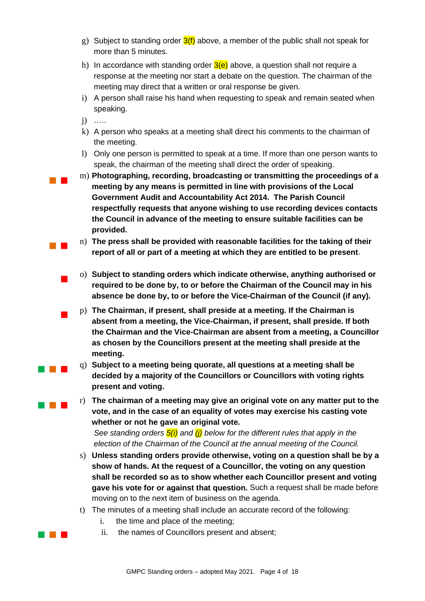- g) Subject to standing order  $3(f)$  above, a member of the public shall not speak for more than 5 minutes.
- h) In accordance with standing order  $3(e)$  above, a question shall not require a response at the meeting nor start a debate on the question. The chairman of the meeting may direct that a written or oral response be given.
- i) A person shall raise his hand when requesting to speak and remain seated when speaking.

j) …..

- k) A person who speaks at a meeting shall direct his comments to the chairman of the meeting.
- l) Only one person is permitted to speak at a time. If more than one person wants to speak, the chairman of the meeting shall direct the order of speaking.
- m) **Photographing, recording, broadcasting or transmitting the proceedings of a meeting by any means is permitted in line with provisions of the Local Government Audit and Accountability Act 2014. The Parish Council respectfully requests that anyone wishing to use recording devices contacts the Council in advance of the meeting to ensure suitable facilities can be provided.**
- n) **The press shall be provided with reasonable facilities for the taking of their report of all or part of a meeting at which they are entitled to be present**.
- o) **Subject to standing orders which indicate otherwise, anything authorised or required to be done by, to or before the Chairman of the Council may in his absence be done by, to or before the Vice-Chairman of the Council (if any).**
- p) **The Chairman, if present, shall preside at a meeting. If the Chairman is absent from a meeting, the Vice-Chairman, if present, shall preside. If both the Chairman and the Vice-Chairman are absent from a meeting, a Councillor as chosen by the Councillors present at the meeting shall preside at the meeting.**
- **q** q) Subject to a meeting being quorate, all questions at a meeting shall be **decided by a majority of the Councillors or Councillors with voting rights present and voting.**
- **TE FIGURE 1** The chairman of a meeting may give an original vote on any matter put to the **vote, and in the case of an equality of votes may exercise his casting vote whether or not he gave an original vote.** *See standing orders 5(i) and (j) below for the different rules that apply in the election of the Chairman of the Council at the annual meeting of the Council.*
	- s) **Unless standing orders provide otherwise, voting on a question shall be by a show of hands. At the request of a Councillor, the voting on any question shall be recorded so as to show whether each Councillor present and voting gave his vote for or against that question.** Such a request shall be made before moving on to the next item of business on the agenda.
	- t) The minutes of a meeting shall include an accurate record of the following:
		- i. the time and place of the meeting;
- **i** ii. the names of Councillors present and absent;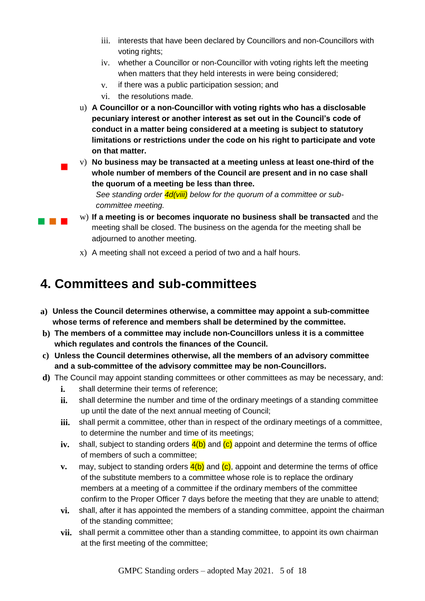- iii. interests that have been declared by Councillors and non-Councillors with voting rights:
- iv. whether a Councillor or non-Councillor with voting rights left the meeting when matters that they held interests in were being considered;
- v. if there was a public participation session; and
- vi. the resolutions made.
- u) **A Councillor or a non-Councillor with voting rights who has a disclosable pecuniary interest or another interest as set out in the Council's code of conduct in a matter being considered at a meeting is subject to statutory limitations or restrictions under the code on his right to participate and vote on that matter.**
- v) **No business may be transacted at a meeting unless at least one-third of the whole number of members of the Council are present and in no case shall the quorum of a meeting be less than three.**

*See standing order 4d(viii) below for the quorum of a committee or subcommittee meeting.* 

- **IF A If a meeting is or becomes inquorate no business shall be transacted** and the meeting shall be closed. The business on the agenda for the meeting shall be adjourned to another meeting.
	- x) A meeting shall not exceed a period of two and a half hours.

#### <span id="page-4-0"></span>**4. Committees and sub-committees**

- **a) Unless the Council determines otherwise, a committee may appoint a sub-committee whose terms of reference and members shall be determined by the committee.**
- **b) The members of a committee may include non-Councillors unless it is a committee which regulates and controls the finances of the Council.**
- **c) Unless the Council determines otherwise, all the members of an advisory committee and a sub-committee of the advisory committee may be non-Councillors.**
- **d)** The Council may appoint standing committees or other committees as may be necessary, and:
	- **i.** shall determine their terms of reference;
	- **ii.** shall determine the number and time of the ordinary meetings of a standing committee up until the date of the next annual meeting of Council;
	- **iii.** shall permit a committee, other than in respect of the ordinary meetings of a committee, to determine the number and time of its meetings;
	- **iv.** shall, subject to standing orders 4(b) and (c) appoint and determine the terms of office of members of such a committee;
	- **v.** may, subject to standing orders  $\frac{4(b)}{c}$  and  $\frac{1}{c}$ , appoint and determine the terms of office of the substitute members to a committee whose role is to replace the ordinary members at a meeting of a committee if the ordinary members of the committee confirm to the Proper Officer 7 days before the meeting that they are unable to attend;
	- **vi.** shall, after it has appointed the members of a standing committee, appoint the chairman of the standing committee;
	- **vii.** shall permit a committee other than a standing committee, to appoint its own chairman at the first meeting of the committee;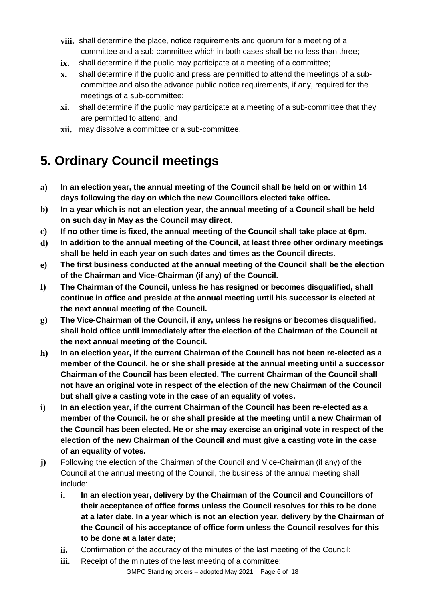- **viii.** shall determine the place, notice requirements and quorum for a meeting of a committee and a sub-committee which in both cases shall be no less than three;
- **ix.** shall determine if the public may participate at a meeting of a committee;
- **x.** shall determine if the public and press are permitted to attend the meetings of a subcommittee and also the advance public notice requirements, if any, required for the meetings of a sub-committee;
- **xi.** shall determine if the public may participate at a meeting of a sub-committee that they are permitted to attend; and
- **xii.** may dissolve a committee or a sub-committee.

## <span id="page-5-0"></span>**5. Ordinary Council meetings**

- **a) In an election year, the annual meeting of the Council shall be held on or within 14 days following the day on which the new Councillors elected take office.**
- **b) In a year which is not an election year, the annual meeting of a Council shall be held on such day in May as the Council may direct.**
- **c) If no other time is fixed, the annual meeting of the Council shall take place at 6pm.**
- **d) In addition to the annual meeting of the Council, at least three other ordinary meetings shall be held in each year on such dates and times as the Council directs.**
- **e) The first business conducted at the annual meeting of the Council shall be the election of the Chairman and Vice-Chairman (if any) of the Council.**
- **f) The Chairman of the Council, unless he has resigned or becomes disqualified, shall continue in office and preside at the annual meeting until his successor is elected at the next annual meeting of the Council.**
- **g) The Vice-Chairman of the Council, if any, unless he resigns or becomes disqualified, shall hold office until immediately after the election of the Chairman of the Council at the next annual meeting of the Council.**
- **h) In an election year, if the current Chairman of the Council has not been re-elected as a member of the Council, he or she shall preside at the annual meeting until a successor Chairman of the Council has been elected. The current Chairman of the Council shall not have an original vote in respect of the election of the new Chairman of the Council but shall give a casting vote in the case of an equality of votes.**
- **i) In an election year, if the current Chairman of the Council has been re-elected as a member of the Council, he or she shall preside at the meeting until a new Chairman of the Council has been elected. He or she may exercise an original vote in respect of the election of the new Chairman of the Council and must give a casting vote in the case of an equality of votes.**
- **j)** Following the election of the Chairman of the Council and Vice-Chairman (if any) of the Council at the annual meeting of the Council, the business of the annual meeting shall include:
	- **i. In an election year, delivery by the Chairman of the Council and Councillors of their acceptance of office forms unless the Council resolves for this to be done at a later date**. **In a year which is not an election year, delivery by the Chairman of the Council of his acceptance of office form unless the Council resolves for this to be done at a later date;**
	- **ii.** Confirmation of the accuracy of the minutes of the last meeting of the Council;
	- **iii.** Receipt of the minutes of the last meeting of a committee;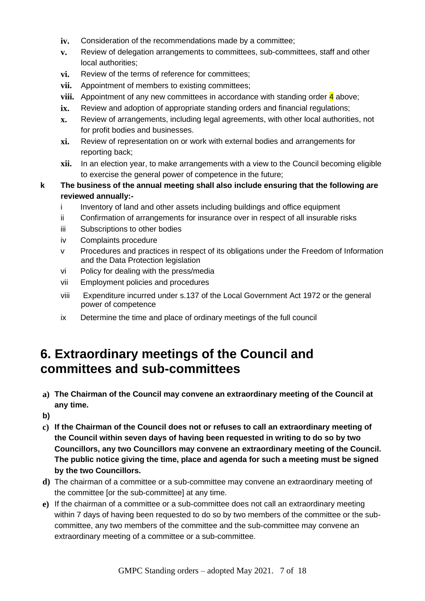- **iv.** Consideration of the recommendations made by a committee;
- **v.** Review of delegation arrangements to committees, sub-committees, staff and other local authorities;
- **vi.** Review of the terms of reference for committees;
- **vii.** Appointment of members to existing committees;
- **viii.** Appointment of any new committees in accordance with standing order 4 above;
- **ix.** Review and adoption of appropriate standing orders and financial regulations;
- **x.** Review of arrangements, including legal agreements, with other local authorities, not for profit bodies and businesses.
- **xi.** Review of representation on or work with external bodies and arrangements for reporting back;
- **xii.** In an election year, to make arrangements with a view to the Council becoming eligible to exercise the general power of competence in the future;
- **k The business of the annual meeting shall also include ensuring that the following are reviewed annually:**
	- i Inventory of land and other assets including buildings and office equipment
	- ii Confirmation of arrangements for insurance over in respect of all insurable risks
	- iii Subscriptions to other bodies
	- iv Complaints procedure
	- v Procedures and practices in respect of its obligations under the Freedom of Information and the Data Protection legislation
	- vi Policy for dealing with the press/media
	- vii Employment policies and procedures
	- viii Expenditure incurred under s.137 of the Local Government Act 1972 or the general power of competence
	- ix Determine the time and place of ordinary meetings of the full council

### <span id="page-6-0"></span>**6. Extraordinary meetings of the Council and committees and sub-committees**

- **a) The Chairman of the Council may convene an extraordinary meeting of the Council at any time.**
- **b)**
- **c) If the Chairman of the Council does not or refuses to call an extraordinary meeting of the Council within seven days of having been requested in writing to do so by two Councillors, any two Councillors may convene an extraordinary meeting of the Council. The public notice giving the time, place and agenda for such a meeting must be signed by the two Councillors.**
- **d)** The chairman of a committee or a sub-committee may convene an extraordinary meeting of the committee [or the sub-committee] at any time.
- **e)** If the chairman of a committee or a sub-committee does not call an extraordinary meeting within 7 days of having been requested to do so by two members of the committee or the subcommittee, any two members of the committee and the sub-committee may convene an extraordinary meeting of a committee or a sub-committee.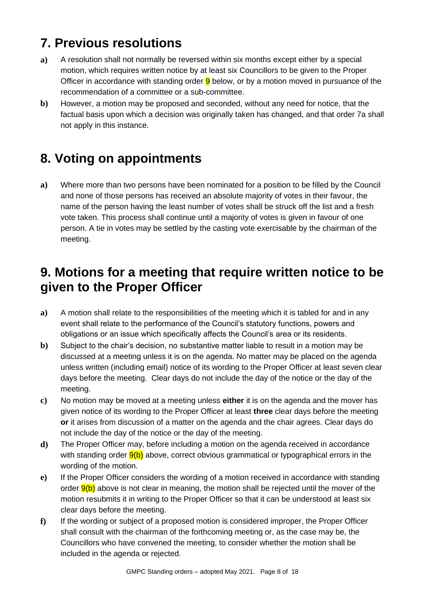## <span id="page-7-0"></span>**7. Previous resolutions**

- **a)** A resolution shall not normally be reversed within six months except either by a special motion, which requires written notice by at least six Councillors to be given to the Proper Officer in accordance with standing order  $9$  below, or by a motion moved in pursuance of the recommendation of a committee or a sub-committee.
- **b)** However, a motion may be proposed and seconded, without any need for notice, that the factual basis upon which a decision was originally taken has changed, and that order 7a shall not apply in this instance.

## <span id="page-7-1"></span>**8. Voting on appointments**

**a)** Where more than two persons have been nominated for a position to be filled by the Council and none of those persons has received an absolute majority of votes in their favour, the name of the person having the least number of votes shall be struck off the list and a fresh vote taken. This process shall continue until a majority of votes is given in favour of one person. A tie in votes may be settled by the casting vote exercisable by the chairman of the meeting.

### <span id="page-7-2"></span>**9. Motions for a meeting that require written notice to be given to the Proper Officer**

- **a)** A motion shall relate to the responsibilities of the meeting which it is tabled for and in any event shall relate to the performance of the Council's statutory functions, powers and obligations or an issue which specifically affects the Council's area or its residents.
- **b)** Subject to the chair's decision, no substantive matter liable to result in a motion may be discussed at a meeting unless it is on the agenda. No matter may be placed on the agenda unless written (including email) notice of its wording to the Proper Officer at least seven clear days before the meeting. Clear days do not include the day of the notice or the day of the meeting.
- **c)** No motion may be moved at a meeting unless **either** it is on the agenda and the mover has given notice of its wording to the Proper Officer at least **three** clear days before the meeting **or** it arises from discussion of a matter on the agenda and the chair agrees. Clear days do not include the day of the notice or the day of the meeting.
- **d)** The Proper Officer may, before including a motion on the agenda received in accordance with standing order  $9(b)$  above, correct obvious grammatical or typographical errors in the wording of the motion.
- **e)** If the Proper Officer considers the wording of a motion received in accordance with standing order  $9(b)$  above is not clear in meaning, the motion shall be rejected until the mover of the motion resubmits it in writing to the Proper Officer so that it can be understood at least six clear days before the meeting.
- **f)** If the wording or subject of a proposed motion is considered improper, the Proper Officer shall consult with the chairman of the forthcoming meeting or, as the case may be, the Councillors who have convened the meeting, to consider whether the motion shall be included in the agenda or rejected.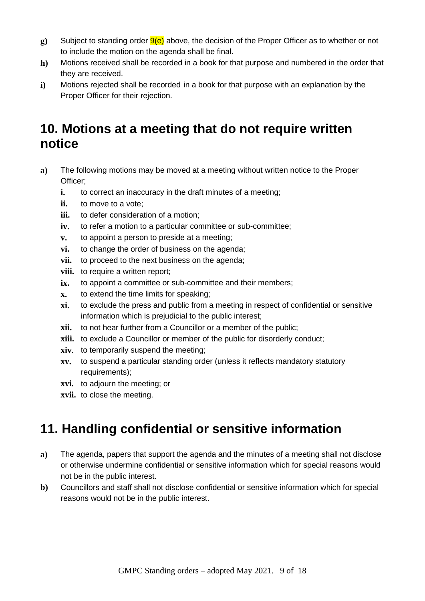- **g)** Subject to standing order  $9(e)$  above, the decision of the Proper Officer as to whether or not to include the motion on the agenda shall be final.
- **h)** Motions received shall be recorded in a book for that purpose and numbered in the order that they are received.
- **i)** Motions rejected shall be recorded in a book for that purpose with an explanation by the Proper Officer for their rejection.

## <span id="page-8-0"></span>**10. Motions at a meeting that do not require written notice**

- **a)** The following motions may be moved at a meeting without written notice to the Proper Officer;
	- **i.** to correct an inaccuracy in the draft minutes of a meeting;
	- **ii.** to move to a vote;
	- **iii.** to defer consideration of a motion;
	- iv. to refer a motion to a particular committee or sub-committee;
	- **v.** to appoint a person to preside at a meeting;
	- **vi.** to change the order of business on the agenda;
	- **vii.** to proceed to the next business on the agenda;
	- **viii.** to require a written report:
	- ix. to appoint a committee or sub-committee and their members;
	- **x.** to extend the time limits for speaking;
	- **xi.** to exclude the press and public from a meeting in respect of confidential or sensitive information which is prejudicial to the public interest;
	- **xii.** to not hear further from a Councillor or a member of the public;
	- **xiii.** to exclude a Councillor or member of the public for disorderly conduct;
	- **xiv.** to temporarily suspend the meeting;
	- **xv.** to suspend a particular standing order (unless it reflects mandatory statutory requirements);
	- **xvi.** to adjourn the meeting; or
	- **xvii.** to close the meeting.

## <span id="page-8-1"></span>**11. Handling confidential or sensitive information**

- **a)** The agenda, papers that support the agenda and the minutes of a meeting shall not disclose or otherwise undermine confidential or sensitive information which for special reasons would not be in the public interest.
- **b)** Councillors and staff shall not disclose confidential or sensitive information which for special reasons would not be in the public interest.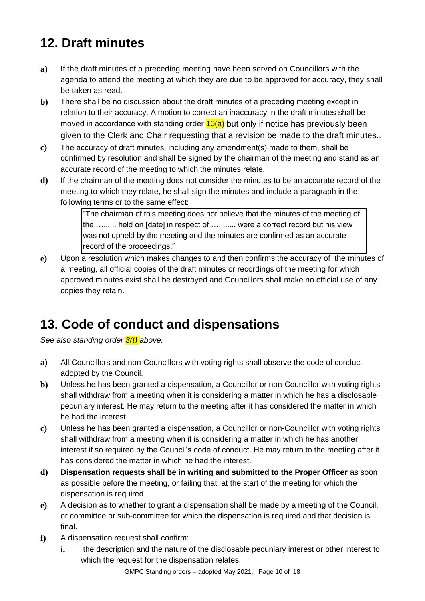# <span id="page-9-0"></span>**12. Draft minutes**

- **a)** If the draft minutes of a preceding meeting have been served on Councillors with the agenda to attend the meeting at which they are due to be approved for accuracy, they shall be taken as read.
- **b)** There shall be no discussion about the draft minutes of a preceding meeting except in relation to their accuracy. A motion to correct an inaccuracy in the draft minutes shall be moved in accordance with standing order  $10(a)$  but only if notice has previously been given to the Clerk and Chair requesting that a revision be made to the draft minutes..
- **c)** The accuracy of draft minutes, including any amendment(s) made to them, shall be confirmed by resolution and shall be signed by the chairman of the meeting and stand as an accurate record of the meeting to which the minutes relate.
- **d)** If the chairman of the meeting does not consider the minutes to be an accurate record of the meeting to which they relate, he shall sign the minutes and include a paragraph in the following terms or to the same effect:

"The chairman of this meeting does not believe that the minutes of the meeting of the …...... held on [date] in respect of …........ were a correct record but his view was not upheld by the meeting and the minutes are confirmed as an accurate record of the proceedings."

**e)** Upon a resolution which makes changes to and then confirms the accuracy of the minutes of a meeting, all official copies of the draft minutes or recordings of the meeting for which approved minutes exist shall be destroyed and Councillors shall make no official use of any copies they retain.

# <span id="page-9-1"></span>**13. Code of conduct and dispensations**

*See also standing order 3(t) above.* 

- **a)** All Councillors and non-Councillors with voting rights shall observe the code of conduct adopted by the Council.
- **b)** Unless he has been granted a dispensation, a Councillor or non-Councillor with voting rights shall withdraw from a meeting when it is considering a matter in which he has a disclosable pecuniary interest. He may return to the meeting after it has considered the matter in which he had the interest.
- **c)** Unless he has been granted a dispensation, a Councillor or non-Councillor with voting rights shall withdraw from a meeting when it is considering a matter in which he has another interest if so required by the Council's code of conduct. He may return to the meeting after it has considered the matter in which he had the interest.
- **d) Dispensation requests shall be in writing and submitted to the Proper Officer** as soon as possible before the meeting, or failing that, at the start of the meeting for which the dispensation is required.
- **e)** A decision as to whether to grant a dispensation shall be made by a meeting of the Council, or committee or sub-committee for which the dispensation is required and that decision is final.
- **f)** A dispensation request shall confirm:
	- **i.** the description and the nature of the disclosable pecuniary interest or other interest to which the request for the dispensation relates;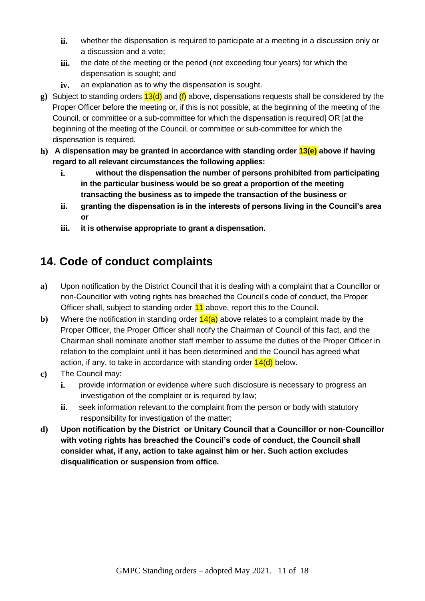- **ii.** whether the dispensation is required to participate at a meeting in a discussion only or a discussion and a vote;
- **iii.** the date of the meeting or the period (not exceeding four years) for which the dispensation is sought; and
- **iv.** an explanation as to why the dispensation is sought.
- **g**) Subject to standing orders  $13(d)$  and  $(f)$  above, dispensations requests shall be considered by the Proper Officer before the meeting or, if this is not possible, at the beginning of the meeting of the Council, or committee or a sub-committee for which the dispensation is required] OR [at the beginning of the meeting of the Council, or committee or sub-committee for which the dispensation is required.
- **h) A dispensation may be granted in accordance with standing order 13(e) above if having regard to all relevant circumstances the following applies:**
	- **i. without the dispensation the number of persons prohibited from participating in the particular business would be so great a proportion of the meeting transacting the business as to impede the transaction of the business or**
	- **ii. granting the dispensation is in the interests of persons living in the Council's area or**
	- **iii. it is otherwise appropriate to grant a dispensation.**

#### <span id="page-10-0"></span>**14. Code of conduct complaints**

- **a)** Upon notification by the District Council that it is dealing with a complaint that a Councillor or non-Councillor with voting rights has breached the Council's code of conduct, the Proper Officer shall, subject to standing order 11 above, report this to the Council.
- **b**) Where the notification in standing order  $\frac{14(a)}{a}$  above relates to a complaint made by the Proper Officer, the Proper Officer shall notify the Chairman of Council of this fact, and the Chairman shall nominate another staff member to assume the duties of the Proper Officer in relation to the complaint until it has been determined and the Council has agreed what action, if any, to take in accordance with standing order  $14(d)$  below.
- **c)** The Council may:
	- **i.** provide information or evidence where such disclosure is necessary to progress an investigation of the complaint or is required by law;
	- **ii.** seek information relevant to the complaint from the person or body with statutory responsibility for investigation of the matter;
- **d) Upon notification by the District or Unitary Council that a Councillor or non-Councillor with voting rights has breached the Council's code of conduct, the Council shall consider what, if any, action to take against him or her. Such action excludes disqualification or suspension from office.**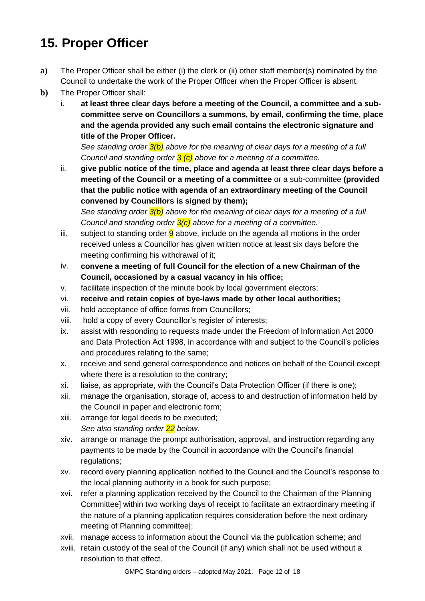## <span id="page-11-0"></span>**15. Proper Officer**

- **a)** The Proper Officer shall be either (i) the clerk or (ii) other staff member(s) nominated by the Council to undertake the work of the Proper Officer when the Proper Officer is absent.
- **b)** The Proper Officer shall:
	- i. **at least three clear days before a meeting of the Council, a committee and a subcommittee serve on Councillors a summons, by email, confirming the time, place and the agenda provided any such email contains the electronic signature and title of the Proper Officer.**

*See standing order 3(b) above for the meaning of clear days for a meeting of a full Council and standing order 3 (c) above for a meeting of a committee.*

ii. **give public notice of the time, place and agenda at least three clear days before a meeting of the Council or a meeting of a committee** or a sub-committee **(provided that the public notice with agenda of an extraordinary meeting of the Council convened by Councillors is signed by them);**

*See standing order 3(b) above for the meaning of clear days for a meeting of a full Council and standing order 3(c) above for a meeting of a committee.*

- iii. subject to standing order  $9$  above, include on the agenda all motions in the order received unless a Councillor has given written notice at least six days before the meeting confirming his withdrawal of it;
- iv. **convene a meeting of full Council for the election of a new Chairman of the Council, occasioned by a casual vacancy in his office;**
- v. facilitate inspection of the minute book by local government electors;
- vi. **receive and retain copies of bye-laws made by other local authorities;**
- vii. hold acceptance of office forms from Councillors;
- viii. hold a copy of every Councillor's register of interests;
- ix. assist with responding to requests made under the Freedom of Information Act 2000 and Data Protection Act 1998, in accordance with and subject to the Council's policies and procedures relating to the same;
- x. receive and send general correspondence and notices on behalf of the Council except where there is a resolution to the contrary;
- xi. liaise, as appropriate, with the Council's Data Protection Officer (if there is one);
- xii. manage the organisation, storage of, access to and destruction of information held by the Council in paper and electronic form;
- xiii. arrange for legal deeds to be executed; *See also standing order 22 below.*
- xiv. arrange or manage the prompt authorisation, approval, and instruction regarding any payments to be made by the Council in accordance with the Council's financial regulations;
- xv. record every planning application notified to the Council and the Council's response to the local planning authority in a book for such purpose;
- xvi. refer a planning application received by the Council to the Chairman of the Planning Committee] within two working days of receipt to facilitate an extraordinary meeting if the nature of a planning application requires consideration before the next ordinary meeting of Planning committee];
- xvii. manage access to information about the Council via the publication scheme; and
- xviii. retain custody of the seal of the Council (if any) which shall not be used without a resolution to that effect.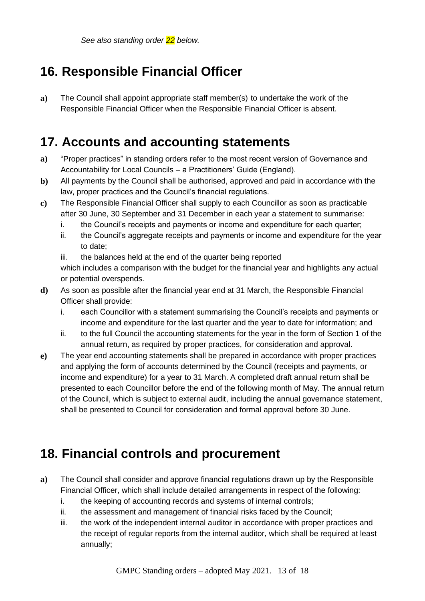*See also standing order 22 below.*

## <span id="page-12-0"></span>**16. Responsible Financial Officer**

**a)** The Council shall appoint appropriate staff member(s) to undertake the work of the Responsible Financial Officer when the Responsible Financial Officer is absent.

### <span id="page-12-1"></span>**17. Accounts and accounting statements**

- **a)** "Proper practices" in standing orders refer to the most recent version of Governance and Accountability for Local Councils – a Practitioners' Guide (England).
- **b)** All payments by the Council shall be authorised, approved and paid in accordance with the law, proper practices and the Council's financial regulations.
- **c)** The Responsible Financial Officer shall supply to each Councillor as soon as practicable after 30 June, 30 September and 31 December in each year a statement to summarise:
	- i. the Council's receipts and payments or income and expenditure for each quarter;
	- ii. the Council's aggregate receipts and payments or income and expenditure for the year to date;

iii. the balances held at the end of the quarter being reported which includes a comparison with the budget for the financial year and highlights any actual or potential overspends.

- **d)** As soon as possible after the financial year end at 31 March, the Responsible Financial Officer shall provide:
	- i. each Councillor with a statement summarising the Council's receipts and payments or income and expenditure for the last quarter and the year to date for information; and
	- ii. to the full Council the accounting statements for the year in the form of Section 1 of the annual return, as required by proper practices, for consideration and approval.
- **e)** The year end accounting statements shall be prepared in accordance with proper practices and applying the form of accounts determined by the Council (receipts and payments, or income and expenditure) for a year to 31 March. A completed draft annual return shall be presented to each Councillor before the end of the following month of May. The annual return of the Council, which is subject to external audit, including the annual governance statement, shall be presented to Council for consideration and formal approval before 30 June.

## <span id="page-12-2"></span>**18. Financial controls and procurement**

- **a)** The Council shall consider and approve financial regulations drawn up by the Responsible Financial Officer, which shall include detailed arrangements in respect of the following:
	- i. the keeping of accounting records and systems of internal controls;
	- ii. the assessment and management of financial risks faced by the Council;
	- iii. the work of the independent internal auditor in accordance with proper practices and the receipt of regular reports from the internal auditor, which shall be required at least annually;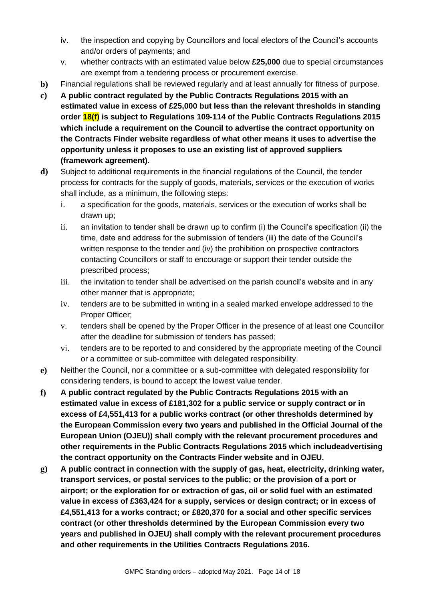- iv. the inspection and copying by Councillors and local electors of the Council's accounts and/or orders of payments; and
- v. whether contracts with an estimated value below **£25,000** due to special circumstances are exempt from a tendering process or procurement exercise.
- **b)** Financial regulations shall be reviewed regularly and at least annually for fitness of purpose.
- **c) A public contract regulated by the Public Contracts Regulations 2015 with an estimated value in excess of £25,000 but less than the relevant thresholds in standing order 18(f) is subject to Regulations 109-114 of the Public Contracts Regulations 2015 which include a requirement on the Council to advertise the contract opportunity on the Contracts Finder website regardless of what other means it uses to advertise the opportunity unless it proposes to use an existing list of approved suppliers (framework agreement).**
- **d)** Subject to additional requirements in the financial regulations of the Council, the tender process for contracts for the supply of goods, materials, services or the execution of works shall include, as a minimum, the following steps:
	- i. a specification for the goods, materials, services or the execution of works shall be drawn up;
	- ii. an invitation to tender shall be drawn up to confirm (i) the Council's specification (ii) the time, date and address for the submission of tenders (iii) the date of the Council's written response to the tender and (iv) the prohibition on prospective contractors contacting Councillors or staff to encourage or support their tender outside the prescribed process;
	- iii. the invitation to tender shall be advertised on the parish council's website and in any other manner that is appropriate;
	- iv. tenders are to be submitted in writing in a sealed marked envelope addressed to the Proper Officer;
	- v. tenders shall be opened by the Proper Officer in the presence of at least one Councillor after the deadline for submission of tenders has passed;
	- vi. tenders are to be reported to and considered by the appropriate meeting of the Council or a committee or sub-committee with delegated responsibility.
- **e)** Neither the Council, nor a committee or a sub-committee with delegated responsibility for considering tenders, is bound to accept the lowest value tender.
- **f) A public contract regulated by the Public Contracts Regulations 2015 with an estimated value in excess of £181,302 for a public service or supply contract or in excess of £4,551,413 for a public works contract (or other thresholds determined by the European Commission every two years and published in the Official Journal of the European Union (OJEU)) shall comply with the relevant procurement procedures and other requirements in the Public Contracts Regulations 2015 which includeadvertising the contract opportunity on the Contracts Finder website and in OJEU.**
- **g) A public contract in connection with the supply of gas, heat, electricity, drinking water, transport services, or postal services to the public; or the provision of a port or airport; or the exploration for or extraction of gas, oil or solid fuel with an estimated value in excess of £363,424 for a supply, services or design contract; or in excess of £4,551,413 for a works contract; or £820,370 for a social and other specific services contract (or other thresholds determined by the European Commission every two years and published in OJEU) shall comply with the relevant procurement procedures and other requirements in the Utilities Contracts Regulations 2016.**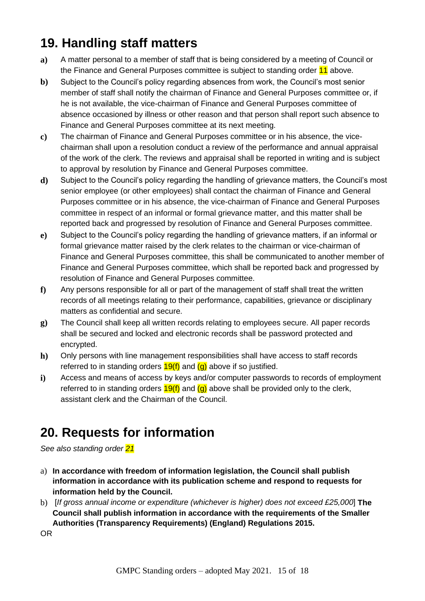## <span id="page-14-0"></span>**19. Handling staff matters**

- **a)** A matter personal to a member of staff that is being considered by a meeting of Council or the Finance and General Purposes committee is subject to standing order 11 above.
- **b)** Subject to the Council's policy regarding absences from work, the Council's most senior member of staff shall notify the chairman of Finance and General Purposes committee or, if he is not available, the vice-chairman of Finance and General Purposes committee of absence occasioned by illness or other reason and that person shall report such absence to Finance and General Purposes committee at its next meeting.
- **c)** The chairman of Finance and General Purposes committee or in his absence, the vicechairman shall upon a resolution conduct a review of the performance and annual appraisal of the work of the clerk. The reviews and appraisal shall be reported in writing and is subject to approval by resolution by Finance and General Purposes committee.
- **d)** Subject to the Council's policy regarding the handling of grievance matters, the Council's most senior employee (or other employees) shall contact the chairman of Finance and General Purposes committee or in his absence, the vice-chairman of Finance and General Purposes committee in respect of an informal or formal grievance matter, and this matter shall be reported back and progressed by resolution of Finance and General Purposes committee.
- **e)** Subject to the Council's policy regarding the handling of grievance matters, if an informal or formal grievance matter raised by the clerk relates to the chairman or vice-chairman of Finance and General Purposes committee, this shall be communicated to another member of Finance and General Purposes committee, which shall be reported back and progressed by resolution of Finance and General Purposes committee.
- **f)** Any persons responsible for all or part of the management of staff shall treat the written records of all meetings relating to their performance, capabilities, grievance or disciplinary matters as confidential and secure.
- **g)** The Council shall keep all written records relating to employees secure. All paper records shall be secured and locked and electronic records shall be password protected and encrypted.
- **h)** Only persons with line management responsibilities shall have access to staff records referred to in standing orders  $19(f)$  and  $(g)$  above if so justified.
- **i)** Access and means of access by keys and/or computer passwords to records of employment referred to in standing orders  $19(f)$  and  $(q)$  above shall be provided only to the clerk, assistant clerk and the Chairman of the Council.

## <span id="page-14-1"></span>**20. Requests for information**

*See also standing order 21*

- a) **In accordance with freedom of information legislation, the Council shall publish information in accordance with its publication scheme and respond to requests for information held by the Council.**
- b) [*If gross annual income or expenditure (whichever is higher) does not exceed £25,000*] **The Council shall publish information in accordance with the requirements of the Smaller Authorities (Transparency Requirements) (England) Regulations 2015.**

OR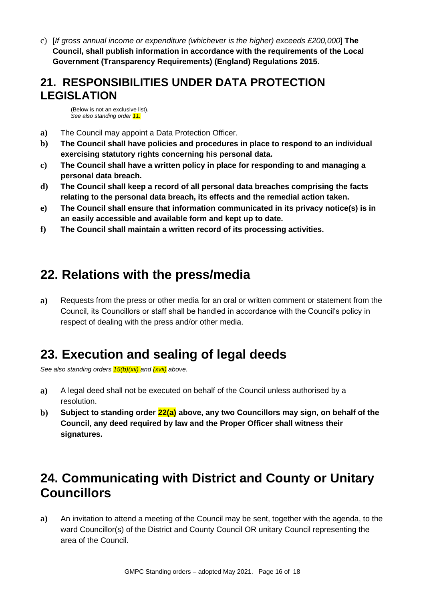c) [*If gross annual income or expenditure (whichever is the higher) exceeds £200,000*] **The Council, shall publish information in accordance with the requirements of the Local Government (Transparency Requirements) (England) Regulations 2015**.

#### <span id="page-15-0"></span>**21. RESPONSIBILITIES UNDER DATA PROTECTION LEGISLATION**

(Below is not an exclusive list). *See also standing order 11.*

- **a)** The Council may appoint a Data Protection Officer.
- **b) The Council shall have policies and procedures in place to respond to an individual exercising statutory rights concerning his personal data.**
- **c) The Council shall have a written policy in place for responding to and managing a personal data breach.**
- **d) The Council shall keep a record of all personal data breaches comprising the facts relating to the personal data breach, its effects and the remedial action taken.**
- **e) The Council shall ensure that information communicated in its privacy notice(s) is in an easily accessible and available form and kept up to date.**
- **f) The Council shall maintain a written record of its processing activities.**

#### <span id="page-15-1"></span>**22. Relations with the press/media**

**a)** Requests from the press or other media for an oral or written comment or statement from the Council, its Councillors or staff shall be handled in accordance with the Council's policy in respect of dealing with the press and/or other media.

#### <span id="page-15-2"></span>**23. Execution and sealing of legal deeds**

*See also standing orders 15(b)(xii) and (xvii) above.*

- **a)** A legal deed shall not be executed on behalf of the Council unless authorised by a resolution.
- **b) Subject to standing order 22(a) above, any two Councillors may sign, on behalf of the Council, any deed required by law and the Proper Officer shall witness their signatures.**

## <span id="page-15-3"></span>**24. Communicating with District and County or Unitary Councillors**

**a)** An invitation to attend a meeting of the Council may be sent, together with the agenda, to the ward Councillor(s) of the District and County Council OR unitary Council representing the area of the Council.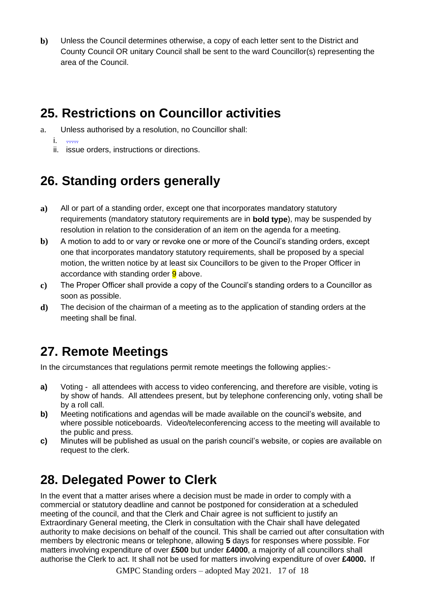**b)** Unless the Council determines otherwise, a copy of each letter sent to the District and County Council OR unitary Council shall be sent to the ward Councillor(s) representing the area of the Council.

## <span id="page-16-0"></span>**25. Restrictions on Councillor activities**

a. Unless authorised by a resolution, no Councillor shall:

 $i$ .

ii. issue orders, instructions or directions.

## <span id="page-16-1"></span>**26. Standing orders generally**

- **a)** All or part of a standing order, except one that incorporates mandatory statutory requirements (mandatory statutory requirements are in **bold type**), may be suspended by resolution in relation to the consideration of an item on the agenda for a meeting.
- **b**) A motion to add to or vary or revoke one or more of the Council's standing orders, except one that incorporates mandatory statutory requirements, shall be proposed by a special motion, the written notice by at least six Councillors to be given to the Proper Officer in accordance with standing order **9** above.
- **c)** The Proper Officer shall provide a copy of the Council's standing orders to a Councillor as soon as possible.
- **d)** The decision of the chairman of a meeting as to the application of standing orders at the meeting shall be final.

# **27. Remote Meetings**

In the circumstances that regulations permit remote meetings the following applies:-

- **a)** Voting all attendees with access to video conferencing, and therefore are visible, voting is by show of hands. All attendees present, but by telephone conferencing only, voting shall be by a roll call.
- **b)** Meeting notifications and agendas will be made available on the council's website, and where possible noticeboards. Video/teleconferencing access to the meeting will available to the public and press.
- **c)** Minutes will be published as usual on the parish council's website, or copies are available on request to the clerk.

## **28. Delegated Power to Clerk**

In the event that a matter arises where a decision must be made in order to comply with a commercial or statutory deadline and cannot be postponed for consideration at a scheduled meeting of the council, and that the Clerk and Chair agree is not sufficient to justify an Extraordinary General meeting, the Clerk in consultation with the Chair shall have delegated authority to make decisions on behalf of the council. This shall be carried out after consultation with members by electronic means or telephone, allowing **5** days for responses where possible. For matters involving expenditure of over **£500** but under **£4000**, a majority of all councillors shall authorise the Clerk to act. It shall not be used for matters involving expenditure of over **£4000.** If